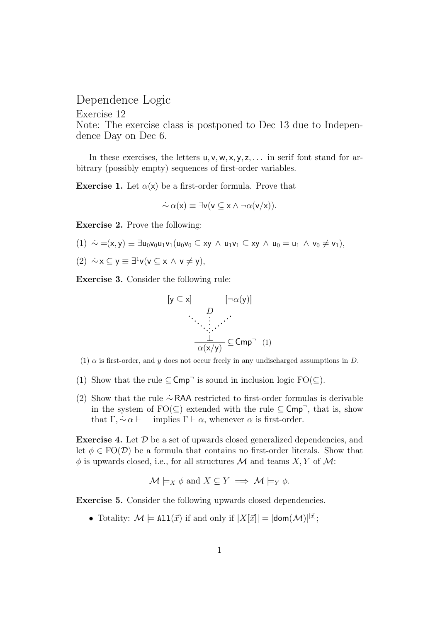Dependence Logic

Exercise 12 Note: The exercise class is postponed to Dec 13 due to Independence Day on Dec 6.

In these exercises, the letters  $u, v, w, x, y, z, \ldots$  in serif font stand for arbitrary (possibly empty) sequences of first-order variables.

**Exercise 1.** Let  $\alpha(x)$  be a first-order formula. Prove that

$$
\dot{\sim} \alpha(\mathsf{x}) \equiv \exists \mathsf{v}(\mathsf{v} \subseteq \mathsf{x} \land \neg \alpha(\mathsf{v}/\mathsf{x})).
$$

Exercise 2. Prove the following:

$$
(1) \sim = (x, y) \equiv \exists u_0 v_0 u_1 v_1 (u_0 v_0 \subseteq xy \land u_1 v_1 \subseteq xy \land u_0 = u_1 \land v_0 \neq v_1),
$$

 $(2)$  ~ $x \subseteq y \equiv \exists^1$ v(v ⊆ x ∧ v ≠ y),

Exercise 3. Consider the following rule:



- (1)  $\alpha$  is first-order, and y does not occur freely in any undischarged assumptions in D.
- (1) Show that the rule  $\subseteq \mathsf{Cmp}^-$  is sound in inclusion logic  $FO(\subseteq)$ .
- (2) Show that the rule  $\sim$  RAA restricted to first-order formulas is derivable in the system of  $FO(\subseteq)$  extended with the rule  $\subseteq \mathsf{Cmp}^{\neg}$ , that is, show that  $\Gamma, \sim \alpha \vdash \bot$  implies  $\Gamma \vdash \alpha$ , whenever  $\alpha$  is first-order.

**Exercise 4.** Let  $D$  be a set of upwards closed generalized dependencies, and let  $\phi \in \text{FO}(\mathcal{D})$  be a formula that contains no first-order literals. Show that  $\phi$  is upwards closed, i.e., for all structures M and teams X, Y of M:

$$
\mathcal{M}\models_X \phi \text{ and } X \subseteq Y \implies \mathcal{M}\models_Y \phi.
$$

Exercise 5. Consider the following upwards closed dependencies.

• Totality:  $\mathcal{M} \models \text{All}(\vec{x})$  if and only if  $|X[\vec{x}]| = |\text{dom}(\mathcal{M})|^{|\vec{x}|}$ ;